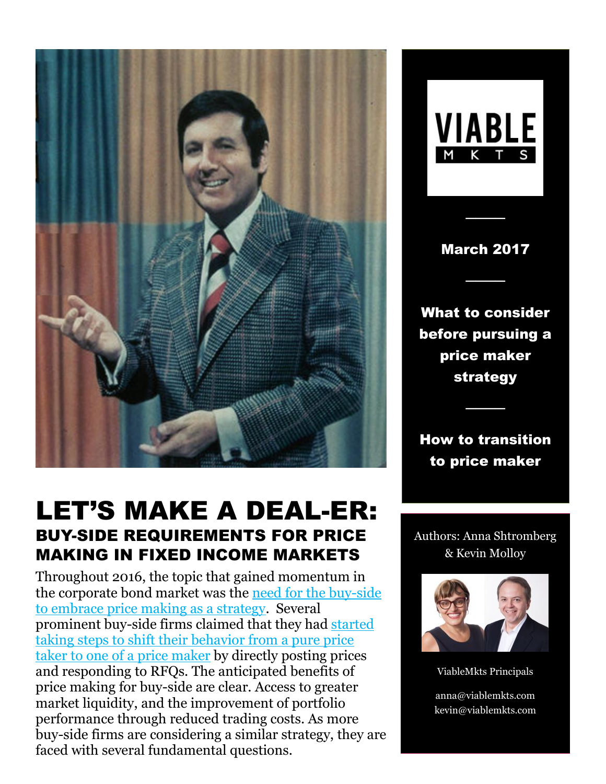

# LET'S MAKE A DEAL-ER: BUY-SIDE REQUIREMENTS FOR PRICE MAKING IN FIXED INCOME MARKETS

Throughout 2016, the topic that gained momentum in the corporate bond market was the [need for the buy-side](http://marketsmedia.com/opinion-buy-side-embrace-price-making/)  [to embrace price making as a strategy.](http://marketsmedia.com/opinion-buy-side-embrace-price-making/) Several prominent buy-side firms claimed that they had [started](https://www.greenwich.com/node/29741)  [taking steps to shift their behavior from a pure price](https://www.greenwich.com/node/29741)  [taker to one of a price maker](https://www.greenwich.com/node/29741) by directly posting prices and responding to RFQs. The anticipated benefits of price making for buy-side are clear. Access to greater market liquidity, and the improvement of portfolio performance through reduced trading costs. As more buy-side firms are considering a similar strategy, they are faced with several fundamental questions.

**VIABLE** M K T

March 2017

────

────

What to consider before pursuing a price maker strategy

How to transition to price maker

────

Authors: Anna Shtromberg & Kevin Molloy



ViableMkts Principals

anna@viablemkts.com kevin@viablemkts.com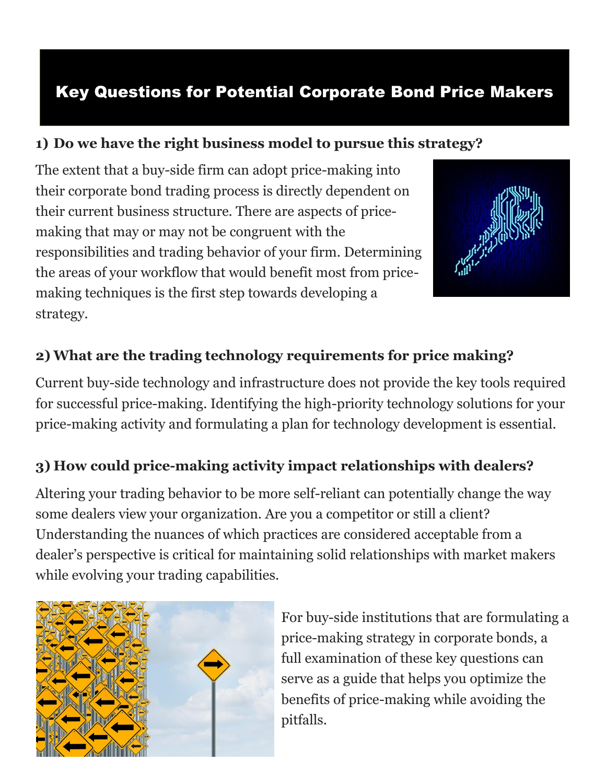# Key Questions for Potential Corporate Bond Price Makers

#### **1) Do we have the right business model to pursue this strategy?**

The extent that a buy-side firm can adopt price-making into their corporate bond trading process is directly dependent on their current business structure. There are aspects of pricemaking that may or may not be congruent with the responsibilities and trading behavior of your firm. Determining the areas of your workflow that would benefit most from pricemaking techniques is the first step towards developing a strategy.



#### **2) What are the trading technology requirements for price making?**

Current buy-side technology and infrastructure does not provide the key tools required for successful price-making. Identifying the high-priority technology solutions for your price-making activity and formulating a plan for technology development is essential.

#### **3) How could price-making activity impact relationships with dealers?**

Altering your trading behavior to be more self-reliant can potentially change the way some dealers view your organization. Are you a competitor or still a client? Understanding the nuances of which practices are considered acceptable from a dealer's perspective is critical for maintaining solid relationships with market makers while evolving your trading capabilities.



For buy-side institutions that are formulating a price-making strategy in corporate bonds, a full examination of these key questions can serve as a guide that helps you optimize the benefits of price-making while avoiding the pitfalls.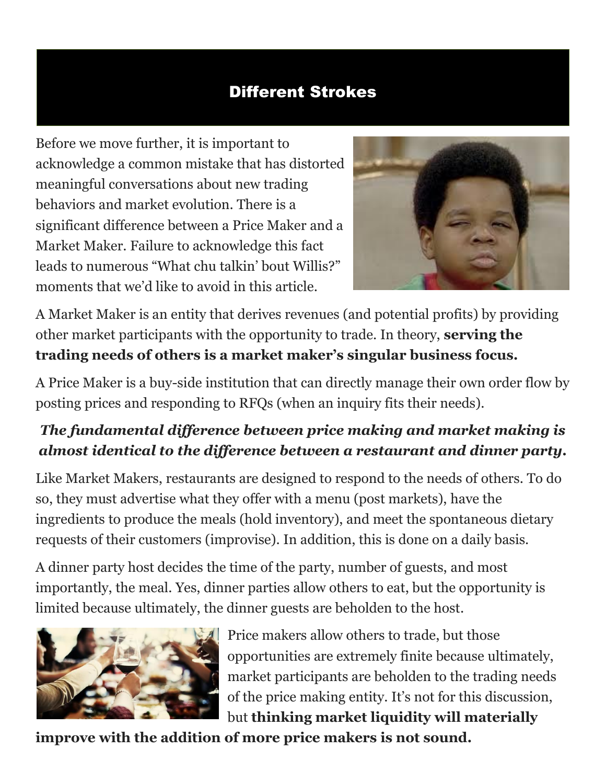## Different Strokes

Before we move further, it is important to acknowledge a common mistake that has distorted meaningful conversations about new trading behaviors and market evolution. There is a significant difference between a Price Maker and a Market Maker. Failure to acknowledge this fact leads to numerous "What chu talkin' bout Willis?" moments that we'd like to avoid in this article.



A Market Maker is an entity that derives revenues (and potential profits) by providing other market participants with the opportunity to trade. In theory, **serving the trading needs of others is a market maker's singular business focus.**

A Price Maker is a buy-side institution that can directly manage their own order flow by posting prices and responding to RFQs (when an inquiry fits their needs).

# *The fundamental difference between price making and market making is almost identical to the difference between a restaurant and dinner party.*

Like Market Makers, restaurants are designed to respond to the needs of others. To do so, they must advertise what they offer with a menu (post markets), have the ingredients to produce the meals (hold inventory), and meet the spontaneous dietary requests of their customers (improvise). In addition, this is done on a daily basis.

A dinner party host decides the time of the party, number of guests, and most importantly, the meal. Yes, dinner parties allow others to eat, but the opportunity is limited because ultimately, the dinner guests are beholden to the host.



Price makers allow others to trade, but those opportunities are extremely finite because ultimately, market participants are beholden to the trading needs of the price making entity. It's not for this discussion, but **thinking market liquidity will materially** 

**improve with the addition of more price makers is not sound.**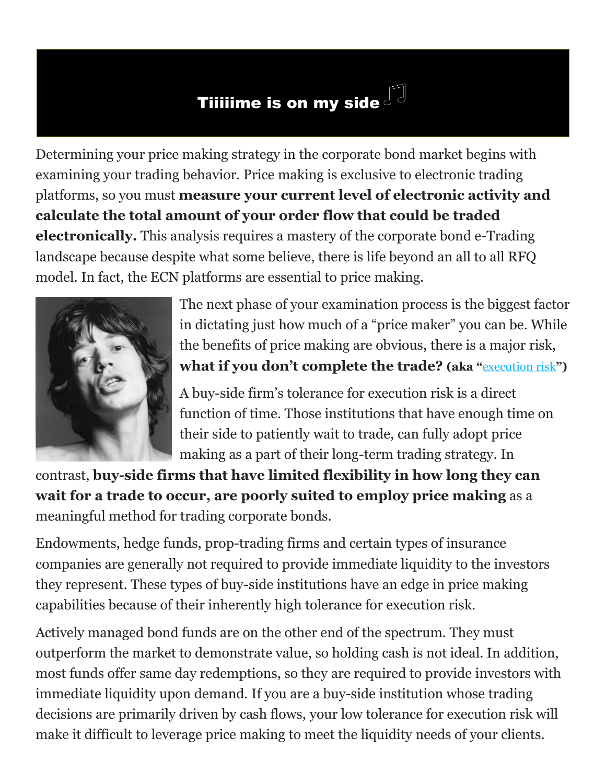# Tiiiiime is on my side  $\mathbb{F}^3$

Determining your price making strategy in the corporate bond market begins with examining your trading behavior. Price making is exclusive to electronic trading platforms, so you must **measure your current level of electronic activity and calculate the total amount of your order flow that could be traded electronically.** This analysis requires a mastery of the corporate bond e-Trading landscape because despite what some believe, there is life beyond an all to all RFQ model. In fact, the ECN platforms are essential to price making.



The next phase of your examination process is the biggest factor in dictating just how much of a "price maker" you can be. While the benefits of price making are obvious, there is a major risk, **what if you don't complete the trade? (aka "**[execution risk](http://www.nber.org/papers/w12165.pdf)**")**

A buy-side firm's tolerance for execution risk is a direct function of time. Those institutions that have enough time on their side to patiently wait to trade, can fully adopt price making as a part of their long-term trading strategy. In

contrast, **buy-side firms that have limited flexibility in how long they can wait for a trade to occur, are poorly suited to employ price making** as a meaningful method for trading corporate bonds.

Endowments, hedge funds, prop-trading firms and certain types of insurance companies are generally not required to provide immediate liquidity to the investors they represent. These types of buy-side institutions have an edge in price making capabilities because of their inherently high tolerance for execution risk.

Actively managed bond funds are on the other end of the spectrum. They must outperform the market to demonstrate value, so holding cash is not ideal. In addition, most funds offer same day redemptions, so they are required to provide investors with immediate liquidity upon demand. If you are a buy-side institution whose trading decisions are primarily driven by cash flows, your low tolerance for execution risk will make it difficult to leverage price making to meet the liquidity needs of your clients.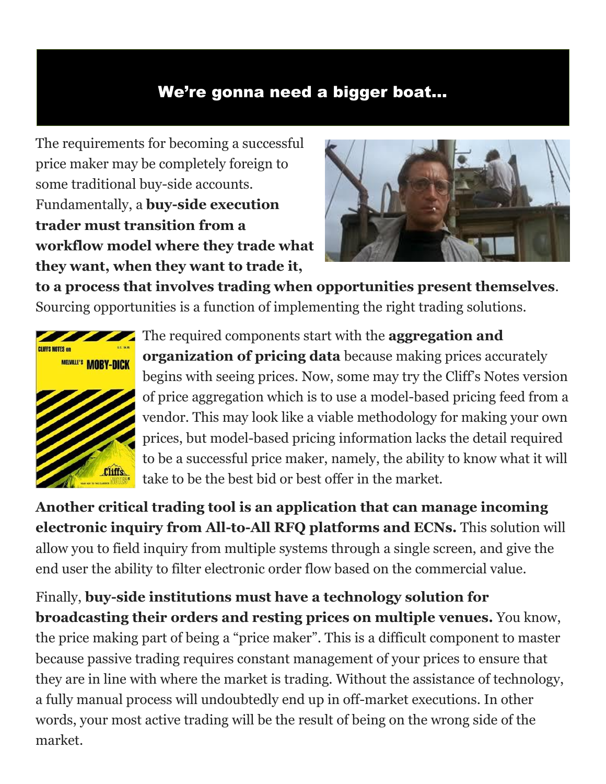### We're gonna need a bigger boat…

The requirements for becoming a successful price maker may be completely foreign to some traditional buy-side accounts. Fundamentally, a **buy-side execution trader must transition from a workflow model where they trade what they want, when they want to trade it,** 



**to a process that involves trading when opportunities present themselves**. Sourcing opportunities is a function of implementing the right trading solutions.



The required components start with the **aggregation and organization of pricing data** because making prices accurately begins with seeing prices. Now, some may try the Cliff's Notes version of price aggregation which is to use a model-based pricing feed from a vendor. This may look like a viable methodology for making your own prices, but model-based pricing information lacks the detail required to be a successful price maker, namely, the ability to know what it will take to be the best bid or best offer in the market.

**Another critical trading tool is an application that can manage incoming electronic inquiry from All-to-All RFQ platforms and ECNs.** This solution will allow you to field inquiry from multiple systems through a single screen, and give the end user the ability to filter electronic order flow based on the commercial value.

Finally, **buy-side institutions must have a technology solution for broadcasting their orders and resting prices on multiple venues.** You know, the price making part of being a "price maker". This is a difficult component to master because passive trading requires constant management of your prices to ensure that they are in line with where the market is trading. Without the assistance of technology, a fully manual process will undoubtedly end up in off-market executions. In other words, your most active trading will be the result of being on the wrong side of the market.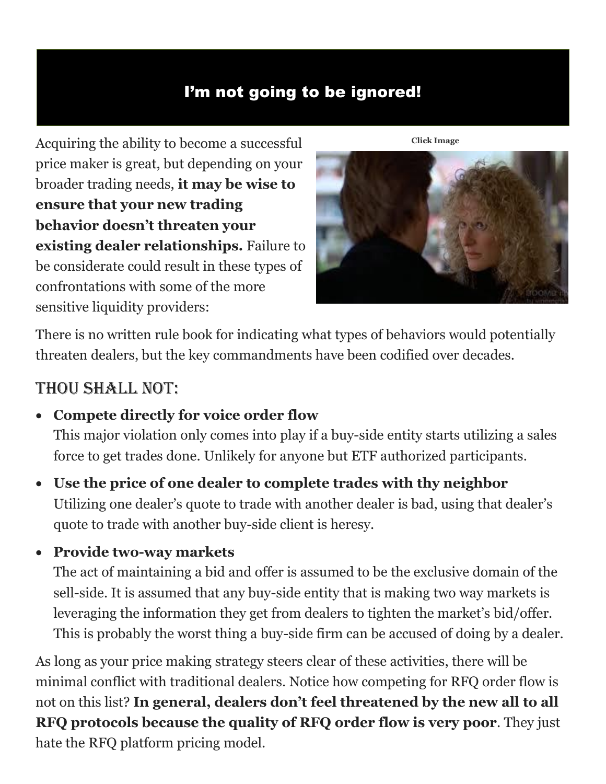# I'm not going to be ignored!

Acquiring the ability to become a successful price maker is great, but depending on your broader trading needs, **it may be wise to ensure that your new trading behavior doesn't threaten your existing dealer relationships.** Failure to be considerate could result in these types of confrontations with some of the more sensitive liquidity providers:



There is no written rule book for indicating what types of behaviors would potentially threaten dealers, but the key commandments have been codified over decades.

# Thou shall not:

• **Compete directly for voice order flow** 

This major violation only comes into play if a buy-side entity starts utilizing a sales force to get trades done. Unlikely for anyone but ETF authorized participants.

- **Use the price of one dealer to complete trades with thy neighbor**  Utilizing one dealer's quote to trade with another dealer is bad, using that dealer's quote to trade with another buy-side client is heresy.
- **Provide two-way markets**

The act of maintaining a bid and offer is assumed to be the exclusive domain of the sell-side. It is assumed that any buy-side entity that is making two way markets is leveraging the information they get from dealers to tighten the market's bid/offer. This is probably the worst thing a buy-side firm can be accused of doing by a dealer.

As long as your price making strategy steers clear of these activities, there will be minimal conflict with traditional dealers. Notice how competing for RFQ order flow is not on this list? **In general, dealers don't feel threatened by the new all to all RFQ protocols because the quality of RFQ order flow is very poor**. They just hate the RFQ platform pricing model.